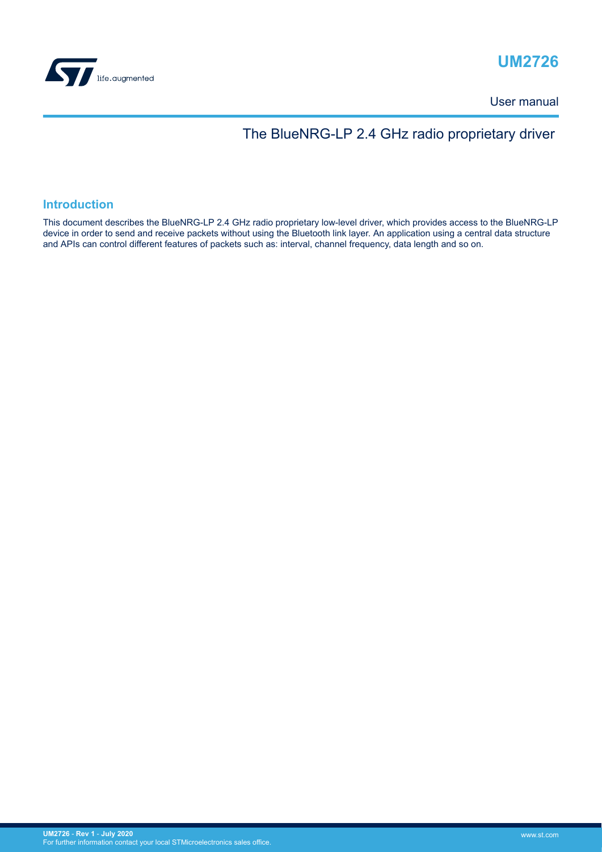

## **UM2726**

User manual

## The BlueNRG-LP 2.4 GHz radio proprietary driver

### **Introduction**

This document describes the BlueNRG-LP 2.4 GHz radio proprietary low-level driver, which provides access to the BlueNRG-LP device in order to send and receive packets without using the Bluetooth link layer. An application using a central data structure and APIs can control different features of packets such as: interval, channel frequency, data length and so on.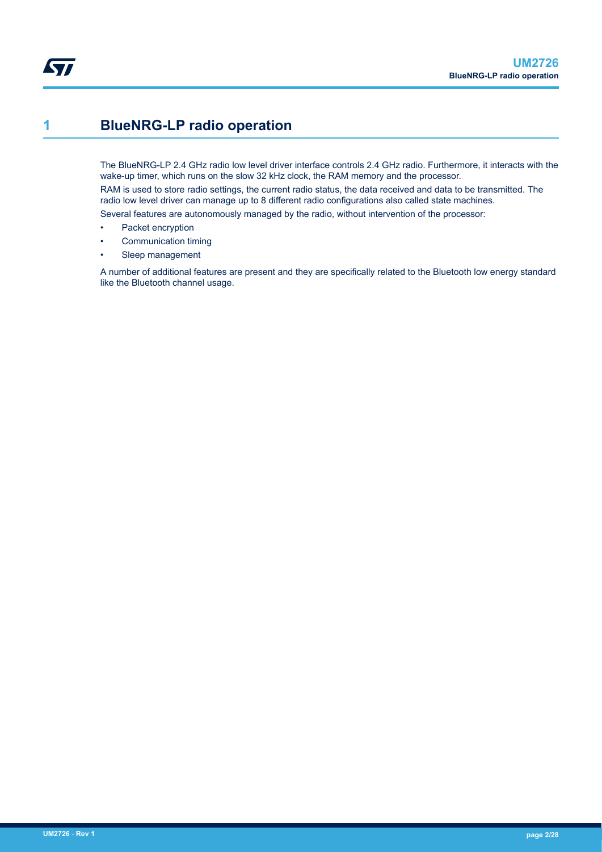## <span id="page-1-0"></span>**1 BlueNRG-LP radio operation**

The BlueNRG-LP 2.4 GHz radio low level driver interface controls 2.4 GHz radio. Furthermore, it interacts with the wake-up timer, which runs on the slow 32 kHz clock, the RAM memory and the processor.

RAM is used to store radio settings, the current radio status, the data received and data to be transmitted. The radio low level driver can manage up to 8 different radio configurations also called state machines.

Several features are autonomously managed by the radio, without intervention of the processor:

- Packet encryption
- Communication timing
- Sleep management

A number of additional features are present and they are specifically related to the Bluetooth low energy standard like the Bluetooth channel usage.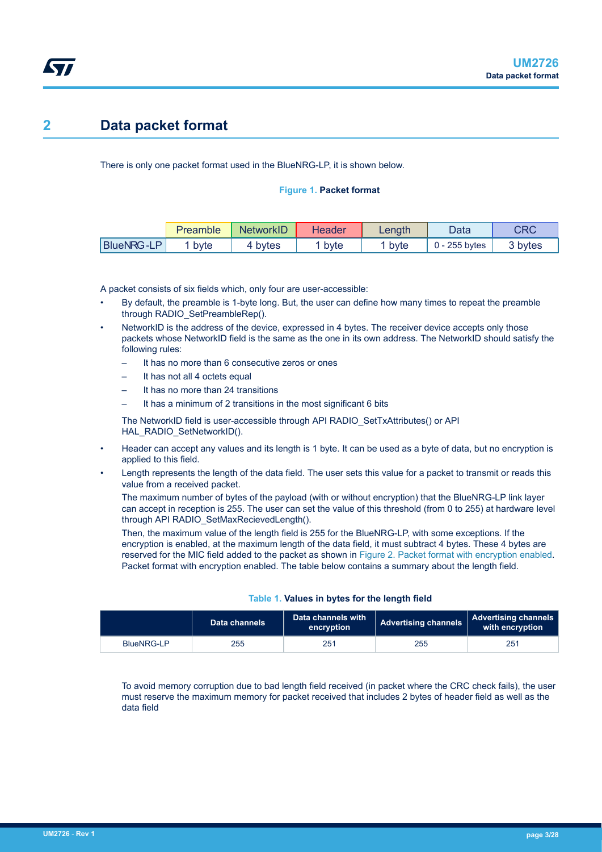## <span id="page-2-0"></span>**2 Data packet format**

There is only one packet format used in the BlueNRG-LP, it is shown below.

#### **Figure 1. Packet format**

|                   | Preamble | <b>NetworkID</b> | <b>Header</b> | Lenath | Data      | CRC     |
|-------------------|----------|------------------|---------------|--------|-----------|---------|
| <b>BlueNRG-LP</b> | byte     | 4 bytes          | byte          | byte   | 255 bytes | 3 bytes |

A packet consists of six fields which, only four are user-accessible:

- By default, the preamble is 1-byte long. But, the user can define how many times to repeat the preamble through RADIO\_SetPreambleRep().
- NetworkID is the address of the device, expressed in 4 bytes. The receiver device accepts only those packets whose NetworkID field is the same as the one in its own address. The NetworkID should satisfy the following rules:
	- It has no more than 6 consecutive zeros or ones
	- It has not all 4 octets equal
	- It has no more than 24 transitions
	- It has a minimum of 2 transitions in the most significant 6 bits

The NetworkID field is user-accessible through API RADIO\_SetTxAttributes() or API HAL\_RADIO\_SetNetworkID().

- Header can accept any values and its length is 1 byte. It can be used as a byte of data, but no encryption is applied to this field.
- Length represents the length of the data field. The user sets this value for a packet to transmit or reads this value from a received packet.

The maximum number of bytes of the payload (with or without encryption) that the BlueNRG-LP link layer can accept in reception is 255. The user can set the value of this threshold (from 0 to 255) at hardware level through API RADIO SetMaxRecievedLength().

Then, the maximum value of the length field is 255 for the BlueNRG-LP, with some exceptions. If the encryption is enabled, at the maximum length of the data field, it must subtract 4 bytes. These 4 bytes are reserved for the MIC field added to the packet as shown in [Figure 2. Packet format with encryption enabled](#page-3-0). Packet format with encryption enabled. The table below contains a summary about the length field.

|            | Data channels | Data channels with<br>encryption | Advertising channels | Advertising channels<br>with encryption |
|------------|---------------|----------------------------------|----------------------|-----------------------------------------|
| BlueNRG-LP | 255           | 251                              | 255                  | 251                                     |

#### **Table 1. Values in bytes for the length field**

To avoid memory corruption due to bad length field received (in packet where the CRC check fails), the user must reserve the maximum memory for packet received that includes 2 bytes of header field as well as the data field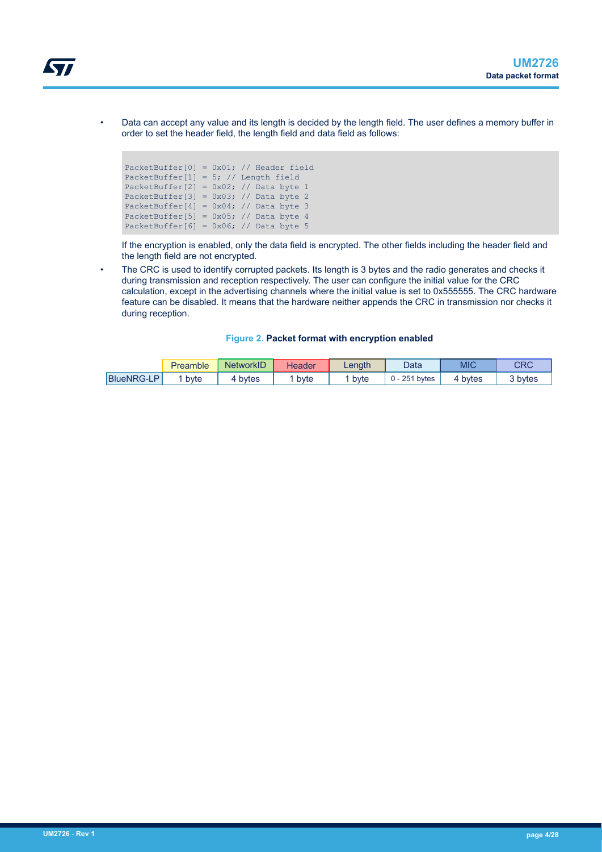<span id="page-3-0"></span>

• Data can accept any value and its length is decided by the length field. The user defines a memory buffer in order to set the header field, the length field and data field as follows:

| PacketBuffer[0] = $0x01$ ; // Header field |  |  |  |
|--------------------------------------------|--|--|--|
| PacketBuffer[1] = 5; // Length field       |  |  |  |
| PacketBuffer[2] = $0x02$ ; // Data byte 1  |  |  |  |
| PacketBuffer[3] = $0x03$ ; // Data byte 2  |  |  |  |
| PacketBuffer[4] = $0x04$ ; // Data byte 3  |  |  |  |
| PacketBuffer[5] = $0x05$ ; // Data byte 4  |  |  |  |
| PacketBuffer[6] = $0x06$ ; // Data byte 5  |  |  |  |

If the encryption is enabled, only the data field is encrypted. The other fields including the header field and the length field are not encrypted.

The CRC is used to identify corrupted packets. Its length is 3 bytes and the radio generates and checks it during transmission and reception respectively. The user can configure the initial value for the CRC calculation, except in the advertising channels where the initial value is set to 0x555555. The CRC hardware feature can be disabled. It means that the hardware neither appends the CRC in transmission nor checks it during reception.

|  |  | Figure 2. Packet format with encryption enabled |
|--|--|-------------------------------------------------|
|  |  |                                                 |

|                   | Preamble | <b>NetworkID</b> | Header | Lenath | Data         | MIC   | CRC     |
|-------------------|----------|------------------|--------|--------|--------------|-------|---------|
| <b>BlueNRG-LP</b> | byte     | bytes            | byte   | byte   | 251<br>bytes | bytes | 3 bytes |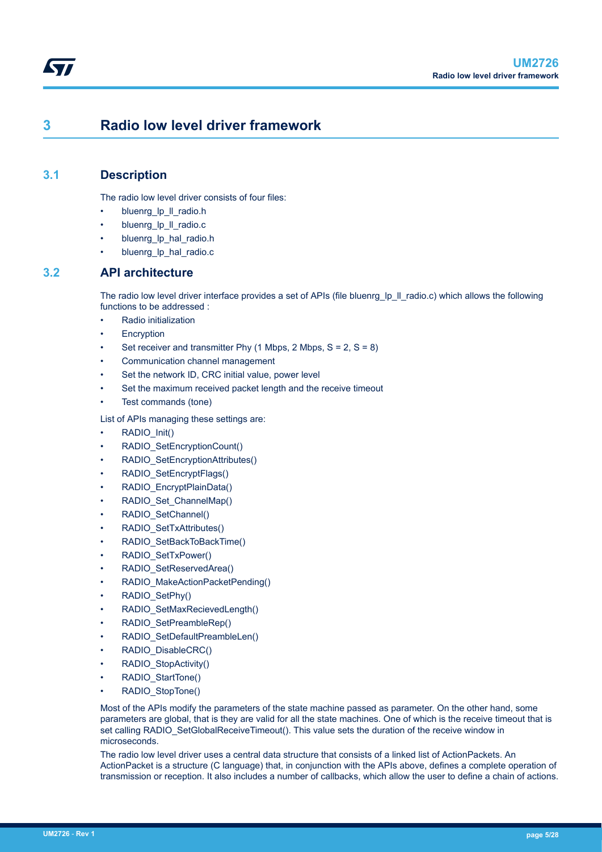## **3 Radio low level driver framework**

## **3.1 Description**

<span id="page-4-0"></span>W

The radio low level driver consists of four files:

- bluenrg\_lp\_ll\_radio.h
- bluenrg\_lp\_ll\_radio.c
- bluenrg Ip hal radio.h
- bluenrg lp\_hal\_radio.c

## **3.2 API architecture**

The radio low level driver interface provides a set of APIs (file bluenrg Ip II radio.c) which allows the following functions to be addressed :

- Radio initialization
- **Encryption**
- Set receiver and transmitter Phy  $(1 \text{ Mbps}, 2 \text{ Mbps}, S = 2, S = 8)$
- Communication channel management
- Set the network ID, CRC initial value, power level
- Set the maximum received packet length and the receive timeout
- Test commands (tone)

List of APIs managing these settings are:

- RADIO\_Init()
- RADIO\_SetEncryptionCount()
- RADIO\_SetEncryptionAttributes()
- RADIO\_SetEncryptFlags()
- RADIO\_EncryptPlainData()
- RADIO\_Set\_ChannelMap()
- RADIO\_SetChannel()
- RADIO\_SetTxAttributes()
- RADIO\_SetBackToBackTime()
- RADIO\_SetTxPower()
- RADIO\_SetReservedArea()
- RADIO\_MakeActionPacketPending()
- RADIO\_SetPhy()
- RADIO\_SetMaxRecievedLength()
- RADIO\_SetPreambleRep()
- RADIO\_SetDefaultPreambleLen()
- RADIO\_DisableCRC()
- RADIO\_StopActivity()
- RADIO\_StartTone()
- RADIO\_StopTone()

Most of the APIs modify the parameters of the state machine passed as parameter. On the other hand, some parameters are global, that is they are valid for all the state machines. One of which is the receive timeout that is set calling RADIO\_SetGlobalReceiveTimeout(). This value sets the duration of the receive window in microseconds.

The radio low level driver uses a central data structure that consists of a linked list of ActionPackets. An ActionPacket is a structure (C language) that, in conjunction with the APIs above, defines a complete operation of transmission or reception. It also includes a number of callbacks, which allow the user to define a chain of actions.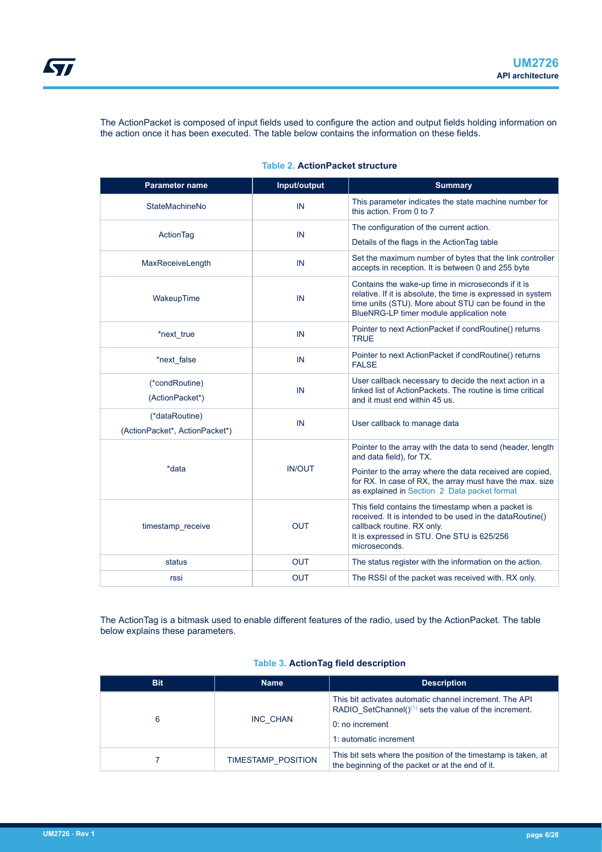<span id="page-5-0"></span>ST

The ActionPacket is composed of input fields used to configure the action and output fields holding information on the action once it has been executed. The table below contains the information on these fields.

| Parameter name                                   | Input/output  | <b>Summary</b>                                                                                                                                                                                                         |
|--------------------------------------------------|---------------|------------------------------------------------------------------------------------------------------------------------------------------------------------------------------------------------------------------------|
| <b>StateMachineNo</b>                            | IN            | This parameter indicates the state machine number for<br>this action. From 0 to 7                                                                                                                                      |
| ActionTag                                        | IN            | The configuration of the current action.                                                                                                                                                                               |
|                                                  |               | Details of the flags in the Action Tag table                                                                                                                                                                           |
| MaxReceiveLength                                 | IN            | Set the maximum number of bytes that the link controller<br>accepts in reception. It is between 0 and 255 byte                                                                                                         |
| WakeupTime                                       | IN            | Contains the wake-up time in microseconds if it is<br>relative. If it is absolute, the time is expressed in system<br>time units (STU). More about STU can be found in the<br>BlueNRG-LP timer module application note |
| *next true                                       | IN            | Pointer to next ActionPacket if condRoutine() returns<br><b>TRUE</b>                                                                                                                                                   |
| *next false                                      | IN            | Pointer to next ActionPacket if condRoutine() returns<br><b>FALSE</b>                                                                                                                                                  |
| (*condRoutine)<br>(ActionPacket*)                | IN            | User callback necessary to decide the next action in a<br>linked list of ActionPackets. The routine is time critical<br>and it must end within 45 us.                                                                  |
| (*dataRoutine)<br>(ActionPacket*, ActionPacket*) | IN            | User callback to manage data                                                                                                                                                                                           |
|                                                  |               | Pointer to the array with the data to send (header, length<br>and data field), for TX.                                                                                                                                 |
| *data                                            | <b>IN/OUT</b> | Pointer to the array where the data received are copied,<br>for RX. In case of RX, the array must have the max. size<br>as explained in Section 2 Data packet format                                                   |
| timestamp receive                                | <b>OUT</b>    | This field contains the timestamp when a packet is<br>received. It is intended to be used in the dataRoutine()<br>callback routine. RX only.<br>It is expressed in STU. One STU is 625/256<br>microseconds.            |
| status                                           | <b>OUT</b>    | The status register with the information on the action.                                                                                                                                                                |
| rssi                                             | <b>OUT</b>    | The RSSI of the packet was received with. RX only.                                                                                                                                                                     |

#### **Table 2. ActionPacket structure**

The ActionTag is a bitmask used to enable different features of the radio, used by the ActionPacket. The table below explains these parameters.

#### **Table 3. ActionTag field description**

| <b>Bit</b> | <b>Name</b>        | <b>Description</b>                                                                                                                                                                |
|------------|--------------------|-----------------------------------------------------------------------------------------------------------------------------------------------------------------------------------|
| 6          | <b>INC CHAN</b>    | This bit activates automatic channel increment. The API<br>RADIO SetChannel( $(1)$ <sup>(1)</sup> sets the value of the increment.<br>$0:$ no increment<br>1: automatic increment |
|            | TIMESTAMP POSITION | This bit sets where the position of the timestamp is taken, at<br>the beginning of the packet or at the end of it.                                                                |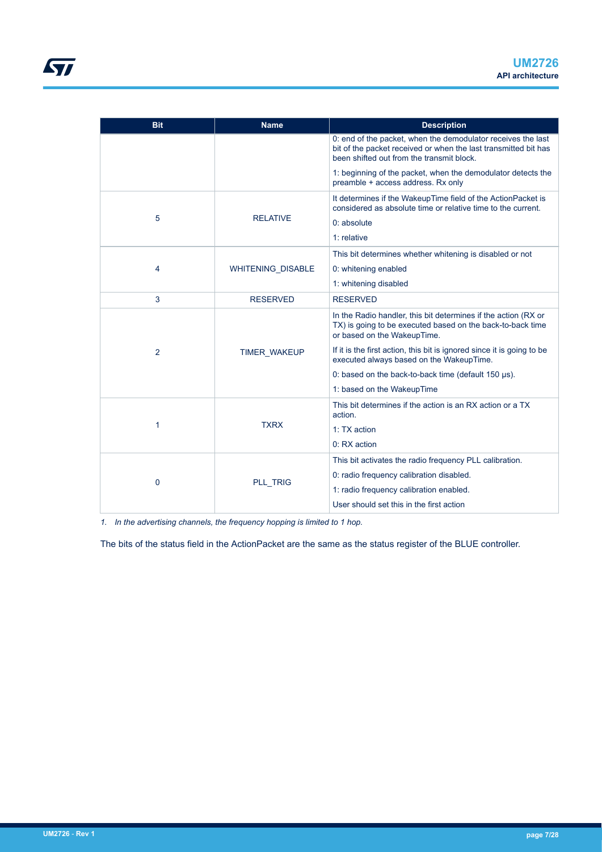| <b>Bit</b> | <b>Name</b>              | <b>Description</b>                                                                                                                                                           |
|------------|--------------------------|------------------------------------------------------------------------------------------------------------------------------------------------------------------------------|
|            |                          | 0: end of the packet, when the demodulator receives the last<br>bit of the packet received or when the last transmitted bit has<br>been shifted out from the transmit block. |
|            |                          | 1: beginning of the packet, when the demodulator detects the<br>preamble + access address. Rx only                                                                           |
|            |                          | It determines if the WakeupTime field of the ActionPacket is<br>considered as absolute time or relative time to the current.                                                 |
| 5          | <b>RELATIVE</b>          | 0: absolute                                                                                                                                                                  |
|            |                          | $1:$ relative                                                                                                                                                                |
|            |                          | This bit determines whether whitening is disabled or not                                                                                                                     |
| 4          | <b>WHITENING DISABLE</b> | 0: whitening enabled                                                                                                                                                         |
|            |                          | 1: whitening disabled                                                                                                                                                        |
| 3          | <b>RESERVED</b>          | <b>RESERVED</b>                                                                                                                                                              |
|            |                          | In the Radio handler, this bit determines if the action (RX or<br>TX) is going to be executed based on the back-to-back time<br>or based on the WakeupTime.                  |
| 2          | <b>TIMER WAKEUP</b>      | If it is the first action, this bit is ignored since it is going to be<br>executed always based on the WakeupTime.                                                           |
|            |                          | 0: based on the back-to-back time (default $150 \mu s$ ).                                                                                                                    |
|            |                          | 1: based on the WakeupTime                                                                                                                                                   |
|            |                          | This bit determines if the action is an RX action or a TX<br>action.                                                                                                         |
| 1          | <b>TXRX</b>              | 1: TX action                                                                                                                                                                 |
|            |                          | 0: RX action                                                                                                                                                                 |
|            |                          | This bit activates the radio frequency PLL calibration.                                                                                                                      |
| 0          | <b>PLL TRIG</b>          | 0: radio frequency calibration disabled.                                                                                                                                     |
|            |                          | 1: radio frequency calibration enabled.                                                                                                                                      |
|            |                          | User should set this in the first action                                                                                                                                     |

*1. In the advertising channels, the frequency hopping is limited to 1 hop.*

The bits of the status field in the ActionPacket are the same as the status register of the BLUE controller.

<span id="page-6-0"></span>**STI**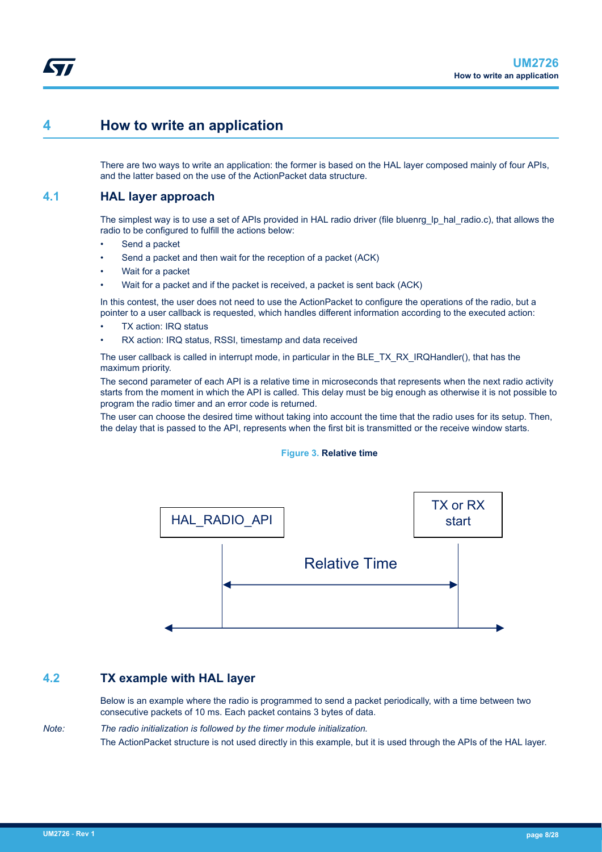## <span id="page-7-0"></span>**4 How to write an application**

There are two ways to write an application: the former is based on the HAL layer composed mainly of four APIs, and the latter based on the use of the ActionPacket data structure.

### **4.1 HAL layer approach**

The simplest way is to use a set of APIs provided in HAL radio driver (file bluenrg\_lp\_hal\_radio.c), that allows the radio to be configured to fulfill the actions below:

- Send a packet
- Send a packet and then wait for the reception of a packet (ACK)
- Wait for a packet
- Wait for a packet and if the packet is received, a packet is sent back (ACK)

In this contest, the user does not need to use the ActionPacket to configure the operations of the radio, but a pointer to a user callback is requested, which handles different information according to the executed action:

- TX action: IRQ status
- RX action: IRQ status, RSSI, timestamp and data received

The user callback is called in interrupt mode, in particular in the BLE\_TX\_RX\_IRQHandler(), that has the maximum priority.

The second parameter of each API is a relative time in microseconds that represents when the next radio activity starts from the moment in which the API is called. This delay must be big enough as otherwise it is not possible to program the radio timer and an error code is returned.

The user can choose the desired time without taking into account the time that the radio uses for its setup. Then, the delay that is passed to the API, represents when the first bit is transmitted or the receive window starts.

#### **Figure 3. Relative time**



## **4.2 TX example with HAL layer**

Below is an example where the radio is programmed to send a packet periodically, with a time between two consecutive packets of 10 ms. Each packet contains 3 bytes of data.

*Note: The radio initialization is followed by the timer module initialization.* The ActionPacket structure is not used directly in this example, but it is used through the APIs of the HAL layer.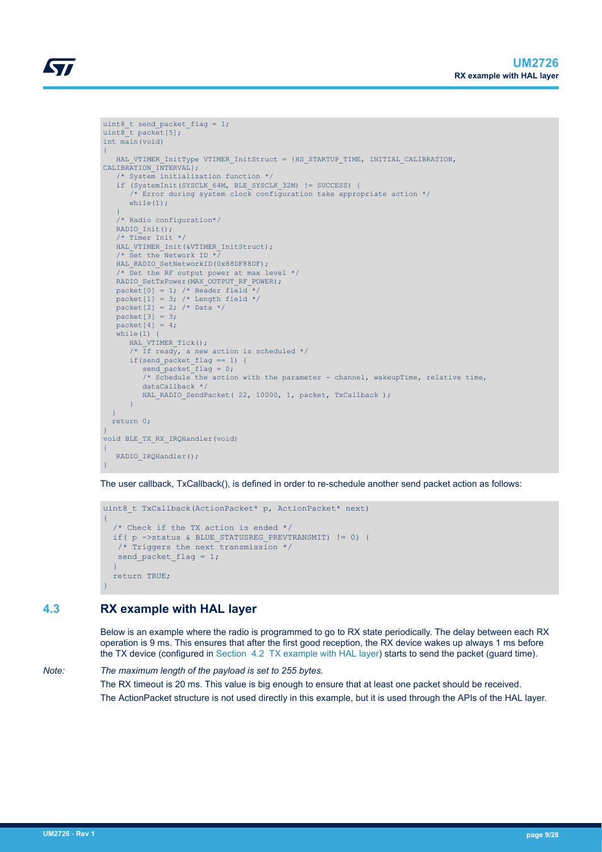```
uint8_t send_packet_flag = 1;
uint8<sup>t</sup> packet[5];
int main(void)
{
   HAL VTIMER InitType VTIMER InitStruct = {HS STARTUP TIME, INITIAL CALIBRATION,
CALIBRATION INTERVAL};
    /* System initialization function */
    if (SystemInit(SYSCLK_64M, BLE_SYSCLK_32M) != SUCCESS) {
       /* Error during system clock configuration take appropriate action */
      while(1):
\qquad \qquad \} /* Radio configuration*/
  RADIO Init();
   /* Timer Init */
    HAL_VTIMER_Init(&VTIMER_InitStruct);
   /* Set the Network ID *HAL RADIO SetNetworkID(0x88DF88DF);
     /* Set the RF output power at max level */
   RADIO SetTxPower(MAX_OUTPUT_RF_POWER);
  packet[0] = 1; /* Header field */
  packet [1] = 3; /* Length field */
   packet[2] = 2; /* Data */
   packet[3] = 3; packet[4] = 4;
   while(1) {
      HAL VTIMER Tick();
      \frac{1}{x} If ready, a new action is scheduled */
      if(send_packet_flag == 1) {
        send packet flag = 0; /* Schedule the action with the parameter - channel, wakeupTime, relative time, 
          dataCallback */
         HAL RADIO SendPacket ( 22, 10000, 1, packet, TxCallback );
       } 
  \lambda return 0;
}
void BLE_TX_RX_IRQHandler(void)
{
   RADIO IRQHandler();
```
The user callback, TxCallback(), is defined in order to re-schedule another send packet action as follows:

```
uint8 t TxCallback(ActionPacket* p, ActionPacket* next)
{
   /* Check if the TX action is ended */
  if( p ->status & BLUE STATUSREG PREVTRANSMIT) != 0) {
   /* Triggers the next transmission */
   send packet flag = 1;\rightarrow return TRUE;
}
```
## **4.3 RX example with HAL layer**

}

Below is an example where the radio is programmed to go to RX state periodically. The delay between each RX operation is 9 ms. This ensures that after the first good reception, the RX device wakes up always 1 ms before the TX device (configured in [Section 4.2 TX example with HAL layer\)](#page-7-0) starts to send the packet (guard time).

*Note: The maximum length of the payload is set to 255 bytes.* The RX timeout is 20 ms. This value is big enough to ensure that at least one packet should be received.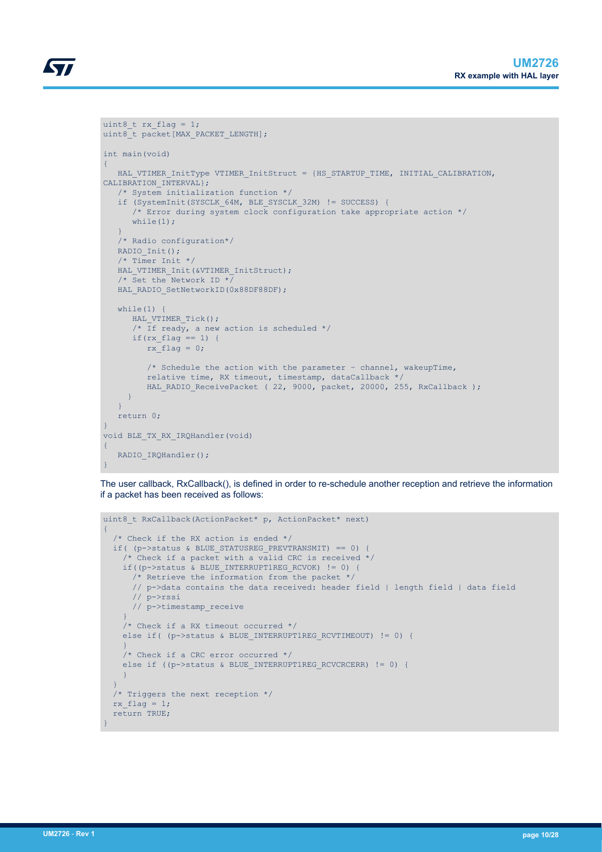```
uint8 t rx flag = 1;
uint8\overline{t} packet[MAX_PACKET_LENGTH];
int main(void)
{
   HAL VTIMER InitType VTIMER InitStruct = {HS STARTUP TIME, INITIAL CALIBRATION,
CALIBRATION INTERVAL};
    /* System initialization function */
    if (SystemInit(SYSCLK_64M, BLE_SYSCLK_32M) != SUCCESS) {
      \prime\star Error during system clock configuration take appropriate action \star/while(1);
\left\{\begin{array}{cc} 1 & 1 \\ 1 & 1 \end{array}\right\} /* Radio configuration*/
   RADIO Init();
    /* Timer Init */
   HAL VTIMER Init(&VTIMER InitStruct);
    /* Set the Network ID */
   HAL_RADIO_SetNetworkID(0x88DF88DF);
   while(1) {
     HAL VTIMER Tick();
        /* If ready, a new action is scheduled */
      if(rx flag == 1) {
         rx_flag = 0;
          /* Schedule the action with the parameter - channel, wakeupTime,
           relative time, RX timeout, timestamp, dataCallback */
         HAL RADIO ReceivePacket ( 22, 9000, packet, 20000, 255, RxCallback );
      }
    }
    return 0;
}
void BLE_TX_RX_IRQHandler(void)
{
   RADIO_IRQHandler();
```
The user callback, RxCallback(), is defined in order to re-schedule another reception and retrieve the information if a packet has been received as follows:

```
uint8 t RxCallback(ActionPacket* p, ActionPacket* next)
{
    /* Check if the RX action is ended */
  if( (p->status & BLUE STATUSREG PREVTRANSMIT) == 0) {
      /* Check if a packet with a valid CRC is received */
      if((p->status & BLUE_INTERRUPT1REG_RCVOK) != 0) {
      \frac{1}{x} Retrieve the information from the packet */
        // p->data contains the data received: header field | length field | data field
        // p->rssi
        // p->timestamp_receive
\left\{\begin{array}{cc} 1 & 1 \\ 1 & 1 \end{array}\right\}/* Check if a RX timeout occurred */else if( (p->status & BLUE INTERRUPT1REG RCVTIMEOUT) != 0) {
\left\{\begin{array}{cc} 1 & 1 \\ 1 & 1 \end{array}\right\} /* Check if a CRC error occurred */
      else if ((p->status & BLUE_INTERRUPT1REG_RCVCRCERR) != 0) {
\left\{\begin{array}{cc} 1 & 1 \\ 1 & 1 \end{array}\right\}\rightarrow /* Triggers the next reception */
  rx flag = 1; return TRUE;
}
```
}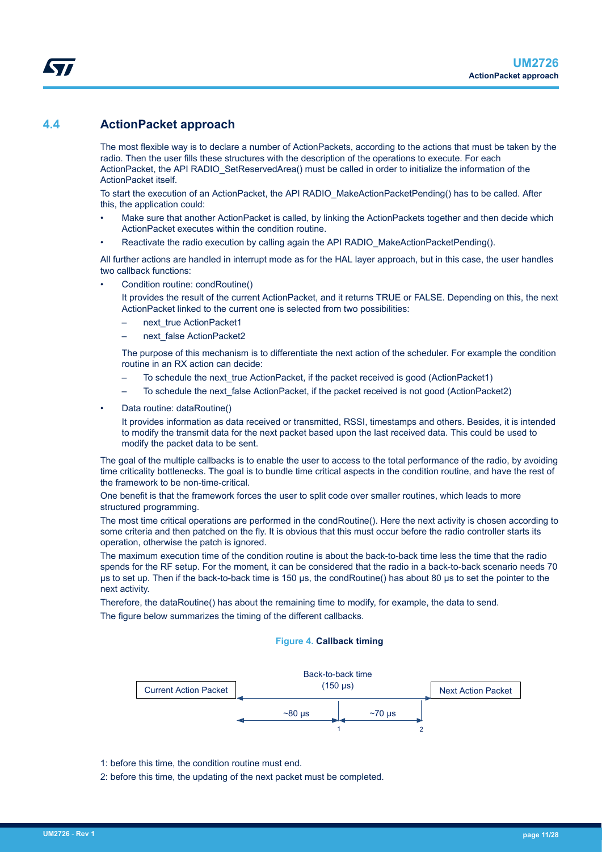### <span id="page-10-0"></span>**4.4 ActionPacket approach**

The most flexible way is to declare a number of ActionPackets, according to the actions that must be taken by the radio. Then the user fills these structures with the description of the operations to execute. For each ActionPacket, the API RADIO\_SetReservedArea() must be called in order to initialize the information of the ActionPacket itself.

To start the execution of an ActionPacket, the API RADIO MakeActionPacketPending() has to be called. After this, the application could:

- Make sure that another ActionPacket is called, by linking the ActionPackets together and then decide which ActionPacket executes within the condition routine.
- Reactivate the radio execution by calling again the API RADIO\_MakeActionPacketPending().

All further actions are handled in interrupt mode as for the HAL layer approach, but in this case, the user handles two callback functions:

• Condition routine: condRoutine()

It provides the result of the current ActionPacket, and it returns TRUE or FALSE. Depending on this, the next ActionPacket linked to the current one is selected from two possibilities:

- next\_true ActionPacket1
- next\_false ActionPacket2

The purpose of this mechanism is to differentiate the next action of the scheduler. For example the condition routine in an RX action can decide:

- To schedule the next\_true ActionPacket, if the packet received is good (ActionPacket1)
- To schedule the next\_false ActionPacket, if the packet received is not good (ActionPacket2)
- Data routine: dataRoutine()

It provides information as data received or transmitted, RSSI, timestamps and others. Besides, it is intended to modify the transmit data for the next packet based upon the last received data. This could be used to modify the packet data to be sent.

The goal of the multiple callbacks is to enable the user to access to the total performance of the radio, by avoiding time criticality bottlenecks. The goal is to bundle time critical aspects in the condition routine, and have the rest of the framework to be non-time-critical.

One benefit is that the framework forces the user to split code over smaller routines, which leads to more structured programming.

The most time critical operations are performed in the condRoutine(). Here the next activity is chosen according to some criteria and then patched on the fly. It is obvious that this must occur before the radio controller starts its operation, otherwise the patch is ignored.

The maximum execution time of the condition routine is about the back-to-back time less the time that the radio spends for the RF setup. For the moment, it can be considered that the radio in a back-to-back scenario needs 70 µs to set up. Then if the back-to-back time is 150 µs, the condRoutine() has about 80 µs to set the pointer to the next activity.

Therefore, the dataRoutine() has about the remaining time to modify, for example, the data to send. The figure below summarizes the timing of the different callbacks.

#### **Figure 4. Callback timing**



1: before this time, the condition routine must end.

2: before this time, the updating of the next packet must be completed.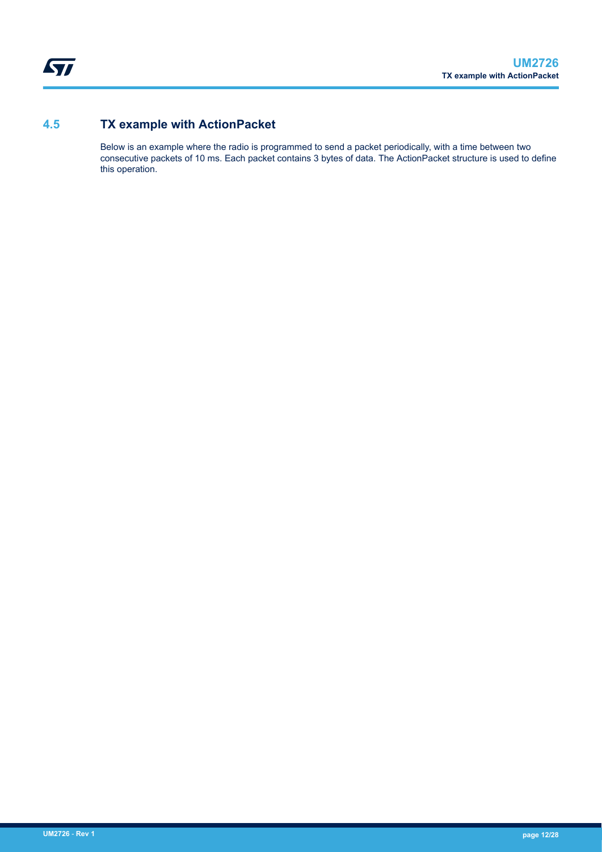<span id="page-11-0"></span>ST

## **4.5 TX example with ActionPacket**

Below is an example where the radio is programmed to send a packet periodically, with a time between two consecutive packets of 10 ms. Each packet contains 3 bytes of data. The ActionPacket structure is used to define this operation.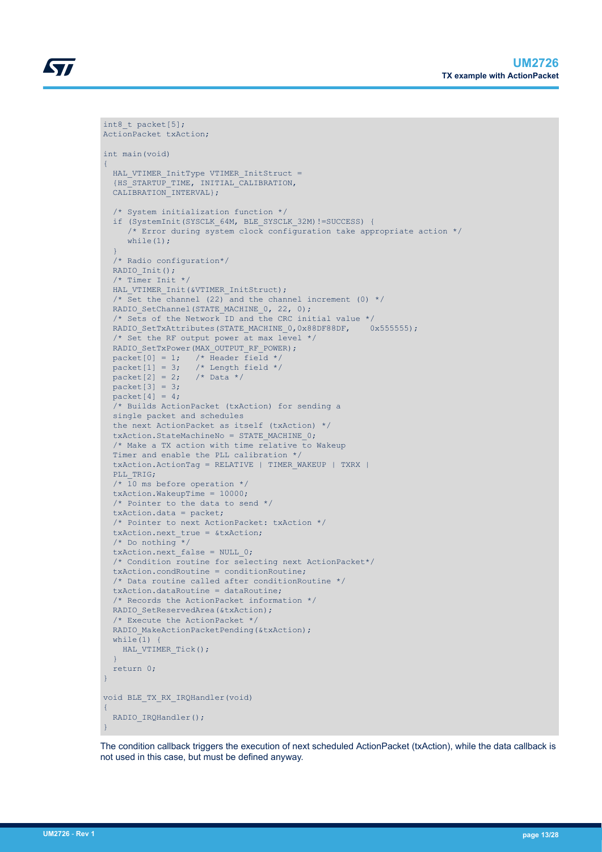```
int8 t packet[5];
ActionPacket txAction;
int main(void)
{
 HAL_VTIMER_InitType VTIMER InitStruct =
  {HS_STARTUP_TIME, INITIAL_CALIBRATION, 
  CALIBRATION INTERVAL};
   /* System initialization function */
   if (SystemInit(SYSCLK_64M, BLE_SYSCLK_32M)!=SUCCESS) {
      /* Error during system clock configuration take appropriate action */
     while(1):
   }
   /* Radio configuration*/
 RADIO Init();
   /* Timer Init */
 HAL VTIMER Init(&VTIMER InitStruct);
  /* Set the channel (22) and the channel increment (0) \star/
 RADIO SetChannel (STATE MACHINE 0, 22, 0);
   /* Sets of the Network ID and the CRC initial value */
 RADIO SetTxAttributes(STATE MACHINE 0,0x88DF88DF, 0x555555);
   /* Set the RF output power at max level */
  RADIO_SetTxPower(MAX_OUTPUT_RF_POWER); 
packet[0] = 1; /* Header field */
packet[1] = 3; /* Length field */
 packet [2] = 2; /* Data */
 packet[3] = 3;packet[4] = 4; /* Builds ActionPacket (txAction) for sending a
  single packet and schedules
   the next ActionPacket as itself (txAction) */
  txAction.StateMachineNo = STATE MACHINE 0;
   /* Make a TX action with time relative to Wakeup
  Timer and enable the PLL calibration */
   txAction.ActionTag = RELATIVE | TIMER_WAKEUP | TXRX |
  PLL_TRIG;
  /* 10 ms before operation */ txAction.WakeupTime = 10000;
   /* Pointer to the data to send */
   txAction.data = packet; 
    /* Pointer to next ActionPacket: txAction */
   txAction.next_true = &txAction;
   /* Do nothing */
 txAction.next_false = NULL 0; /* Condition routine for selecting next ActionPacket*/
   txAction.condRoutine = conditionRoutine; 
   /* Data routine called after conditionRoutine */
  txAction.dataRoutine = dataRoutine;
   /* Records the ActionPacket information */
 RADIO SetReservedArea(&txAction);
   /* Execute the ActionPacket */
 RADIO MakeActionPacketPending(&txAction);
 while(1) {
   HAL VTIMER Tick();
\qquad \} return 0;
}
void BLE_TX_RX_IRQHandler(void)
{
 RADIO IRQHandler();
}
```
The condition callback triggers the execution of next scheduled ActionPacket (txAction), while the data callback is not used in this case, but must be defined anyway.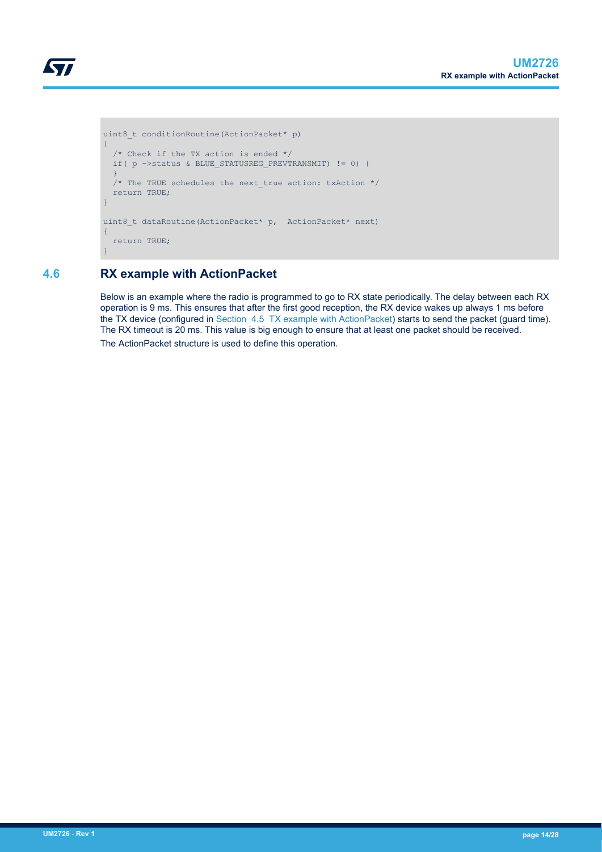```
uint8 t conditionRoutine(ActionPacket* p)
\{ /* Check if the TX action is ended */
  if( p ->status & BLUE_STATUSREG_PREVTRANSMIT) != 0) { 
\rightarrow\frac{1}{x} The TRUE schedules the next true action: txAction */
   return TRUE;
}
uint8 t dataRoutine(ActionPacket* p, ActionPacket* next)
{
   return TRUE;
}
```
## **4.6 RX example with ActionPacket**

<span id="page-13-0"></span>S7

Below is an example where the radio is programmed to go to RX state periodically. The delay between each RX operation is 9 ms. This ensures that after the first good reception, the RX device wakes up always 1 ms before the TX device (configured in [Section 4.5 TX example with ActionPacket\)](#page-11-0) starts to send the packet (guard time). The RX timeout is 20 ms. This value is big enough to ensure that at least one packet should be received. The ActionPacket structure is used to define this operation.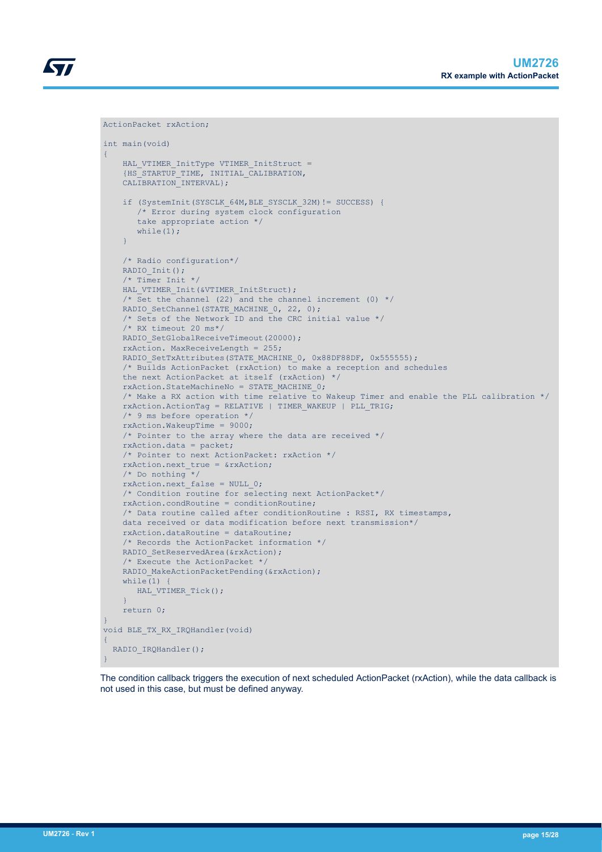

```
int main(void)
{
    HAL VTIMER InitType VTIMER InitStruct =
     {HS_STARTUP_TIME, INITIAL_CALIBRATION, 
     CALIBRATION_INTERVAL};
     if (SystemInit(SYSCLK_64M,BLE_SYSCLK_32M)!= SUCCESS) {
        /* Error during system clock configuration
```
ActionPacket rxAction;

```
 take appropriate action */
       while(1);
     }
     /* Radio configuration*/
    RADIO Init();
     /* Timer Init */
    HAL VTIMER Init(&VTIMER InitStruct);
    /* Set the channel (22) and the channel increment (0) */RADIO SetChannel (STATE MACHINE 0, 22, 0);
     /* Sets of the Network ID and the CRC initial value */
     /* RX timeout 20 ms*/
    RADIO SetGlobalReceiveTimeout(20000);
     rxAction. MaxReceiveLength = 255;
    RADIO SetTxAttributes(STATE MACHINE 0, 0x88DF88DF, 0x555555);
     /* Builds ActionPacket (rxAction) to make a reception and schedules 
     the next ActionPacket at itself (rxAction) */
     rxAction.StateMachineNo = STATE_MACHINE_0;
     /* Make a RX action with time relative to Wakeup Timer and enable the PLL calibration */
     rxAction.ActionTag = RELATIVE | TIMER_WAKEUP | PLL_TRIG;
     /* 9 ms before operation */
     rxAction.WakeupTime = 9000;
     /* Pointer to the array where the data are received */ 
     rxAction.data = packet;
     /* Pointer to next ActionPacket: rxAction */
     rxAction.next_true = &rxAction;
     /* Do nothing */
    rxAction.next false = NULL 0;
     /* Condition routine for selecting next ActionPacket*/
     rxAction.condRoutine = conditionRoutine; 
     /* Data routine called after conditionRoutine : RSSI, RX timestamps, 
     data received or data modification before next transmission*/
     rxAction.dataRoutine = dataRoutine;
     /* Records the ActionPacket information */
    RADIO SetReservedArea(&rxAction);
     /* Execute the ActionPacket */ 
    RADIO MakeActionPacketPending(&rxAction);
    while(1) {
       HAL VTIMER Tick();
\left\{\begin{array}{cc} 1 & 1 \\ 1 & 1 \end{array}\right\} return 0;
void BLE_TX_RX_IRQHandler(void)
  RADIO IRQHandler();
```
The condition callback triggers the execution of next scheduled ActionPacket (rxAction), while the data callback is not used in this case, but must be defined anyway.

}

{

}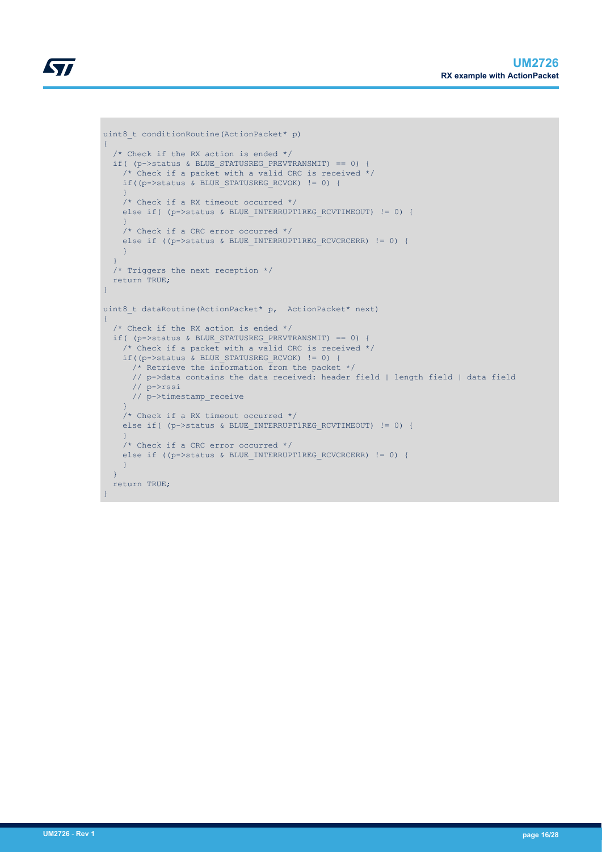```
KY7
```

```
uint8 t conditionRoutine(ActionPacket* p)
{
   /* Check if the RX action is ended */
  if( (p->status & BLUE STATUSREG PREVTRANSMIT) == 0) {
    /* Check if a packet with a valid CRC is received */
     if((p->status & BLUE_STATUSREG_RCVOK) != 0) {
\left\{\begin{array}{cc} 1 & 1 \\ 1 & 1 \end{array}\right\} /* Check if a RX timeout occurred */
    else if( (p->status & BLUE_INTERRUPT1REG_RCVTIMEOUT) != 0) {
\left\{\begin{array}{cc} 1 & 1 \\ 1 & 1 \end{array}\right\} /* Check if a CRC error occurred */
    else if ((p->status & BLUE INTERRUPT1REG RCVCRCERR) != 0) {
     }
   }
   /* Triggers the next reception */
   return TRUE;
}
uint8 t dataRoutine(ActionPacket* p, ActionPacket* next)
{
   /* Check if the RX action is ended */
   if( (p->status & BLUE_STATUSREG_PREVTRANSMIT) == 0) { 
     /* Check if a packet with a valid CRC is received */
    if((p->status & BLUE STATUSREG RCVOK) != 0) {
      \frac{1}{x} Retrieve the information from the packet */
       // p->data contains the data received: header field | length field | data field
       // p->rssi
       // p->timestamp_receive
     }
     /* Check if a RX timeout occurred */
    else if( (p->status & BLUE INTERRUPT1REG RCVTIMEOUT) != 0) {
\longrightarrow /* Check if a CRC error occurred */
    else if ((p->status & BLUE INTERRUPT1REG RCVCRCERR) != 0) {
     }
   }
   return TRUE;
```
}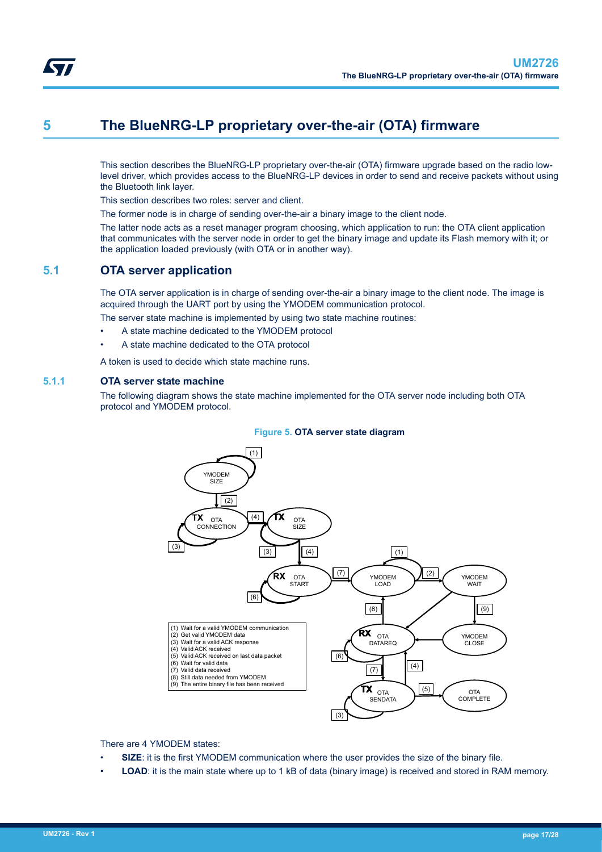<span id="page-16-0"></span>

## **5 The BlueNRG-LP proprietary over-the-air (OTA) firmware**

This section describes the BlueNRG-LP proprietary over-the-air (OTA) firmware upgrade based on the radio lowlevel driver, which provides access to the BlueNRG-LP devices in order to send and receive packets without using the Bluetooth link layer.

This section describes two roles: server and client.

The former node is in charge of sending over-the-air a binary image to the client node.

The latter node acts as a reset manager program choosing, which application to run: the OTA client application that communicates with the server node in order to get the binary image and update its Flash memory with it; or the application loaded previously (with OTA or in another way).

### **5.1 OTA server application**

The OTA server application is in charge of sending over-the-air a binary image to the client node. The image is acquired through the UART port by using the YMODEM communication protocol.

The server state machine is implemented by using two state machine routines:

- A state machine dedicated to the YMODEM protocol
- A state machine dedicated to the OTA protocol

A token is used to decide which state machine runs.

#### **5.1.1 OTA server state machine**

The following diagram shows the state machine implemented for the OTA server node including both OTA protocol and YMODEM protocol.



There are 4 YMODEM states:

- **SIZE:** it is the first YMODEM communication where the user provides the size of the binary file.
- **LOAD:** it is the main state where up to 1 kB of data (binary image) is received and stored in RAM memory.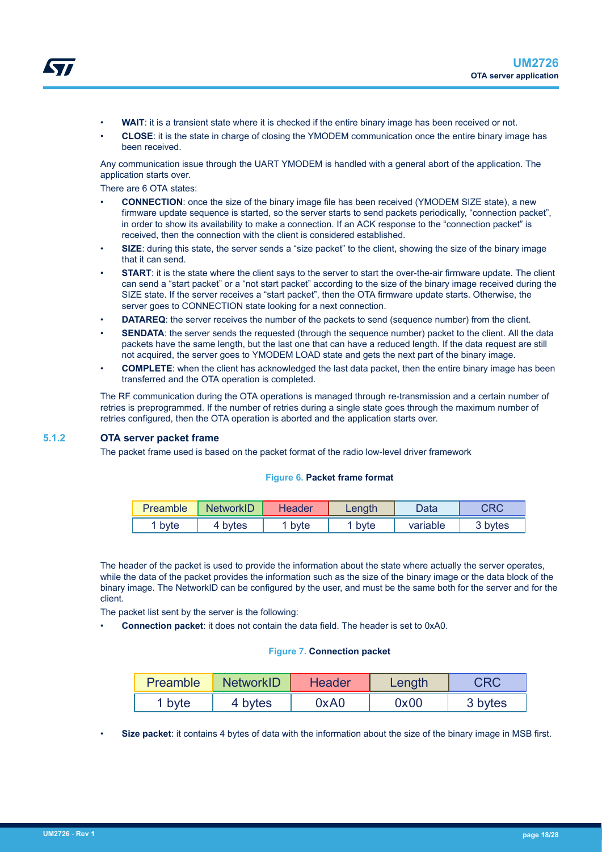- <span id="page-17-0"></span>• **WAIT**: it is a transient state where it is checked if the entire binary image has been received or not.
- **CLOSE**: it is the state in charge of closing the YMODEM communication once the entire binary image has been received.

Any communication issue through the UART YMODEM is handled with a general abort of the application. The application starts over.

There are 6 OTA states:

- **CONNECTION**: once the size of the binary image file has been received (YMODEM SIZE state), a new firmware update sequence is started, so the server starts to send packets periodically, "connection packet", in order to show its availability to make a connection. If an ACK response to the "connection packet" is received, then the connection with the client is considered established.
- **SIZE:** during this state, the server sends a "size packet" to the client, showing the size of the binary image that it can send.
- **START:** it is the state where the client says to the server to start the over-the-air firmware update. The client can send a "start packet" or a "not start packet" according to the size of the binary image received during the SIZE state. If the server receives a "start packet", then the OTA firmware update starts. Otherwise, the server goes to CONNECTION state looking for a next connection.
- **DATAREQ:** the server receives the number of the packets to send (sequence number) from the client.
- **SENDATA:** the server sends the requested (through the sequence number) packet to the client. All the data packets have the same length, but the last one that can have a reduced length. If the data request are still not acquired, the server goes to YMODEM LOAD state and gets the next part of the binary image.
- **COMPLETE**: when the client has acknowledged the last data packet, then the entire binary image has been transferred and the OTA operation is completed.

The RF communication during the OTA operations is managed through re-transmission and a certain number of retries is preprogrammed. If the number of retries during a single state goes through the maximum number of retries configured, then the OTA operation is aborted and the application starts over.

#### **5.1.2 OTA server packet frame**

The packet frame used is based on the packet format of the radio low-level driver framework

#### **Figure 6. Packet frame format**

| Preamble | <b>NetworkID</b> | Header | Length | Data     | CRC     |
|----------|------------------|--------|--------|----------|---------|
| byte     | 4 bytes          | ' bvte | 1 byte | variable | 3 bytes |

The header of the packet is used to provide the information about the state where actually the server operates, while the data of the packet provides the information such as the size of the binary image or the data block of the binary image. The NetworkID can be configured by the user, and must be the same both for the server and for the client.

The packet list sent by the server is the following:

• **Connection packet**: it does not contain the data field. The header is set to 0xA0.

#### **Figure 7. Connection packet**

| Preamble          | <b>NetworkID</b> | <b>Header</b> | Length |         |
|-------------------|------------------|---------------|--------|---------|
| <sup>1</sup> byte | 4 bytes          | 0xA0          | 0x00   | 3 bytes |

• **Size packet**: it contains 4 bytes of data with the information about the size of the binary image in MSB first.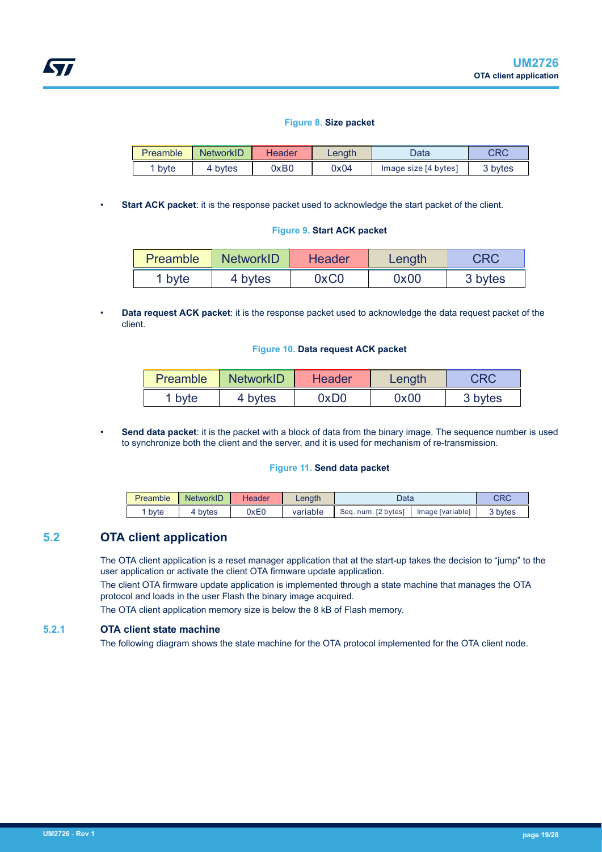#### **Figure 8. Size packet**

<span id="page-18-0"></span>

| Preamble | <b>NetworkID</b> | Header | Length | Data                 | CRC     |
|----------|------------------|--------|--------|----------------------|---------|
| 1 byte   | 4 bvtes          | 0xB0   | 0x04   | Image size [4 bytes] | 3 bytes |

**Start ACK packet:** it is the response packet used to acknowledge the start packet of the client.

#### **Figure 9. Start ACK packet**

| <b>Preamble</b>   | <b>NetworkID</b> | <b>Header</b> | Length | <b>CRC</b> |
|-------------------|------------------|---------------|--------|------------|
| <sup>1</sup> byte | 4 bytes          | 0xC0          | 0x00   | 3 bytes    |

• **Data request ACK packet**: it is the response packet used to acknowledge the data request packet of the client.

#### **Figure 10. Data request ACK packet**

| <b>Preamble</b> | <b>NetworkID</b> | <b>Header</b> | Length |         |
|-----------------|------------------|---------------|--------|---------|
| 1 byte          | 4 bytes          | 0xD0          | 0x00   | 3 bytes |

• **Send data packet**: it is the packet with a block of data from the binary image. The sequence number is used to synchronize both the client and the server, and it is used for mechanism of re-transmission.

#### **Figure 11. Send data packet**

| Preamble | NetworkID | <b>Header</b> | _enath   | Data                |                  | מחי<br>∍ד |
|----------|-----------|---------------|----------|---------------------|------------------|-----------|
| byte     | bytes     | 0xE0          | variable | Seq. num. [2 bytes] | Image [variable] | 3 bytes   |

### **5.2 OTA client application**

The OTA client application is a reset manager application that at the start-up takes the decision to "jump" to the user application or activate the client OTA firmware update application.

The client OTA firmware update application is implemented through a state machine that manages the OTA protocol and loads in the user Flash the binary image acquired.

The OTA client application memory size is below the 8 kB of Flash memory.

### **5.2.1 OTA client state machine**

The following diagram shows the state machine for the OTA protocol implemented for the OTA client node.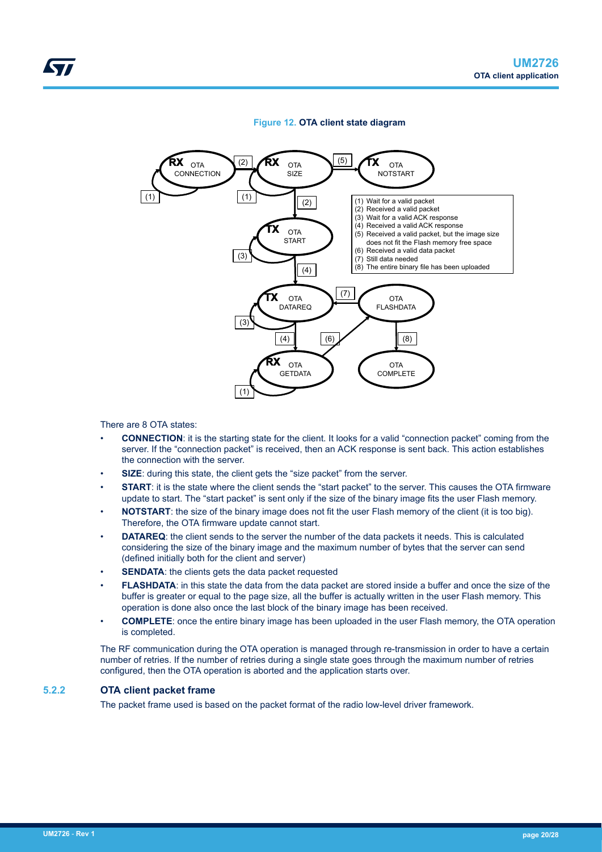#### **Figure 12. OTA client state diagram**

<span id="page-19-0"></span>

There are 8 OTA states:

- **CONNECTION**: it is the starting state for the client. It looks for a valid "connection packet" coming from the server. If the "connection packet" is received, then an ACK response is sent back. This action establishes the connection with the server.
- **SIZE:** during this state, the client gets the "size packet" from the server.
- **START:** it is the state where the client sends the "start packet" to the server. This causes the OTA firmware update to start. The "start packet" is sent only if the size of the binary image fits the user Flash memory.
- **NOTSTART:** the size of the binary image does not fit the user Flash memory of the client (it is too big). Therefore, the OTA firmware update cannot start.
- **DATAREQ**: the client sends to the server the number of the data packets it needs. This is calculated considering the size of the binary image and the maximum number of bytes that the server can send (defined initially both for the client and server)
- **SENDATA:** the clients gets the data packet requested
- **FLASHDATA:** in this state the data from the data packet are stored inside a buffer and once the size of the buffer is greater or equal to the page size, all the buffer is actually written in the user Flash memory. This operation is done also once the last block of the binary image has been received.
- **COMPLETE**: once the entire binary image has been uploaded in the user Flash memory, the OTA operation is completed.

The RF communication during the OTA operation is managed through re-transmission in order to have a certain number of retries. If the number of retries during a single state goes through the maximum number of retries configured, then the OTA operation is aborted and the application starts over.

#### **5.2.2 OTA client packet frame**

The packet frame used is based on the packet format of the radio low-level driver framework.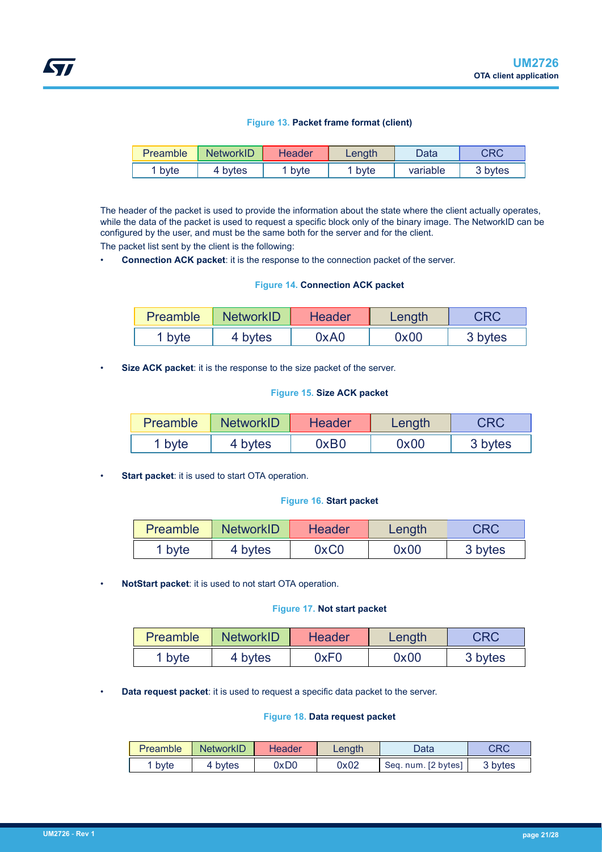#### **Figure 13. Packet frame format (client)**

<span id="page-20-0"></span>

| Preamble | <b>NetworkID</b> | Header | Length | Data     | CRC     |
|----------|------------------|--------|--------|----------|---------|
| byte     | 4 bytes          | ' byte | byte   | variable | 3 bytes |

The header of the packet is used to provide the information about the state where the client actually operates, while the data of the packet is used to request a specific block only of the binary image. The NetworkID can be configured by the user, and must be the same both for the server and for the client.

The packet list sent by the client is the following:

• **Connection ACK packet**: it is the response to the connection packet of the server.

#### **Figure 14. Connection ACK packet**

| <b>Preamble</b>   | <b>NetworkID</b> | <b>Header</b> | Length | <b>CRC</b> |
|-------------------|------------------|---------------|--------|------------|
| <sup>1</sup> byte | 4 bytes          | 0xA0          | 0x00   | 3 bytes    |

• **Size ACK packet**: it is the response to the size packet of the server.

#### **Figure 15. Size ACK packet**

| <b>Preamble</b> | NetworkID | Header | Length | CRC     |
|-----------------|-----------|--------|--------|---------|
| ` byte          | 4 bytes   | 0xB0   | 0x00   | 3 bytes |

**Start packet:** it is used to start OTA operation.

#### **Figure 16. Start packet**

| <b>Preamble</b> | <b>NetworkID</b> | <b>Header</b> | Length | <b>CRC</b> |
|-----------------|------------------|---------------|--------|------------|
| 1 byte          | 4 bytes          | 0xC0          | 0x00   | 3 bytes    |

• **NotStart packet**: it is used to not start OTA operation.

#### **Figure 17. Not start packet**

| Preamble | <b>NetworkID</b> | <b>Header</b> | Length | CRC     |
|----------|------------------|---------------|--------|---------|
| 1 byte   | 4 bytes          | 0xF0          | 0x00   | 3 bytes |

• **Data request packet**: it is used to request a specific data packet to the server.

#### **Figure 18. Data request packet**

| Preamble | <b>NetworkID</b> | Header | Length | Data                | CRC     |
|----------|------------------|--------|--------|---------------------|---------|
| 1 byte   | 4 bytes          | 0dxC   | 0x02   | Seq. num. [2 bytes] | 3 bytes |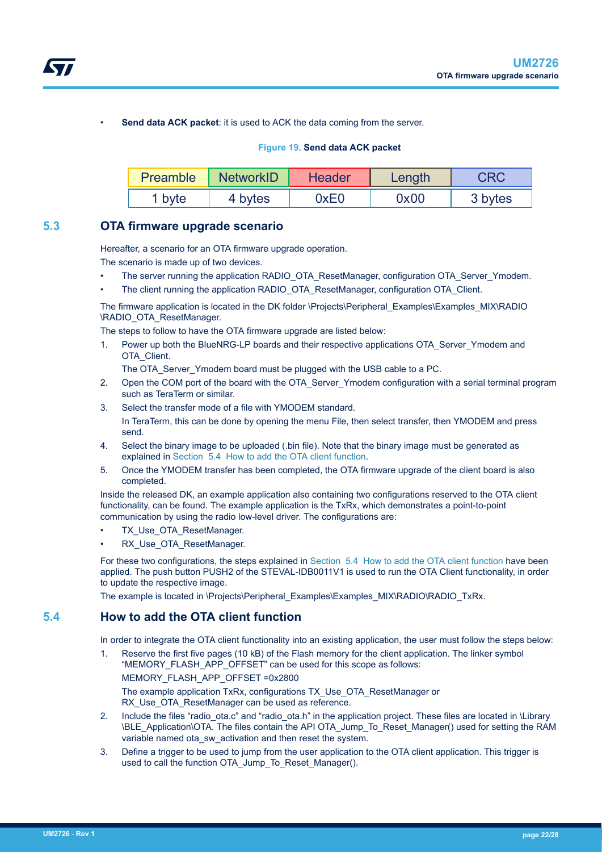<span id="page-21-0"></span>

Send data ACK packet: it is used to ACK the data coming from the server.

#### **Figure 19. Send data ACK packet**

| Preamble          | <b>NetworkID</b> | <b>Header</b> | Length | <b>CRC</b> |
|-------------------|------------------|---------------|--------|------------|
| <sup>1</sup> byte | 4 bytes          | 0xE0          | 0x00   | 3 bytes    |

### **5.3 OTA firmware upgrade scenario**

Hereafter, a scenario for an OTA firmware upgrade operation.

The scenario is made up of two devices.

- The server running the application RADIO\_OTA\_ResetManager, configuration OTA\_Server\_Ymodem.
- The client running the application RADIO\_OTA\_ResetManager, configuration OTA\_Client.

The firmware application is located in the DK folder \Projects\Peripheral\_Examples\Examples\_MIX\RADIO \RADIO\_OTA\_ResetManager.

The steps to follow to have the OTA firmware upgrade are listed below:

1. Power up both the BlueNRG-LP boards and their respective applications OTA\_Server\_Ymodem and OTA\_Client.

The OTA\_Server\_Ymodem board must be plugged with the USB cable to a PC.

- 2. Open the COM port of the board with the OTA\_Server\_Ymodem configuration with a serial terminal program such as TeraTerm or similar.
- 3. Select the transfer mode of a file with YMODEM standard. In TeraTerm, this can be done by opening the menu File, then select transfer, then YMODEM and press send.
- 4. Select the binary image to be uploaded (.bin file). Note that the binary image must be generated as explained in Section 5.4 How to add the OTA client function.
- 5. Once the YMODEM transfer has been completed, the OTA firmware upgrade of the client board is also completed.

Inside the released DK, an example application also containing two configurations reserved to the OTA client functionality, can be found. The example application is the TxRx, which demonstrates a point-to-point communication by using the radio low-level driver. The configurations are:

- TX Use OTA ResetManager.
- RX Use OTA ResetManager.

For these two configurations, the steps explained in Section 5.4 How to add the OTA client function have been applied. The push button PUSH2 of the STEVAL-IDB0011V1 is used to run the OTA Client functionality, in order to update the respective image.

The example is located in \Projects\Peripheral\_Examples\Examples\_MIX\RADIO\RADIO\_TxRx.

### **5.4 How to add the OTA client function**

In order to integrate the OTA client functionality into an existing application, the user must follow the steps below:

1. Reserve the first five pages (10 kB) of the Flash memory for the client application. The linker symbol "MEMORY\_FLASH\_APP\_OFFSET" can be used for this scope as follows:

MEMORY\_FLASH\_APP\_OFFSET =0x2800

The example application TxRx, configurations TX\_Use\_OTA\_ResetManager or RX Use OTA ResetManager can be used as reference.

- 2. Include the files "radio ota.c" and "radio ota.h" in the application project. These files are located in \Library \BLE\_Application\OTA. The files contain the API OTA\_Jump\_To\_Reset\_Manager() used for setting the RAM variable named ota\_sw\_activation and then reset the system.
- 3. Define a trigger to be used to jump from the user application to the OTA client application. This trigger is used to call the function OTA\_Jump\_To\_Reset\_Manager().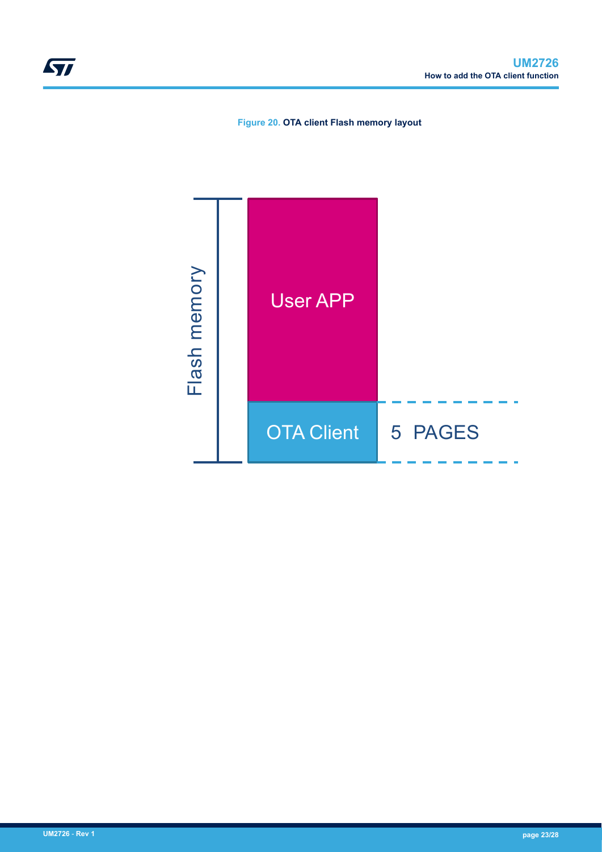**Figure 20. OTA client Flash memory layout**

<span id="page-22-0"></span>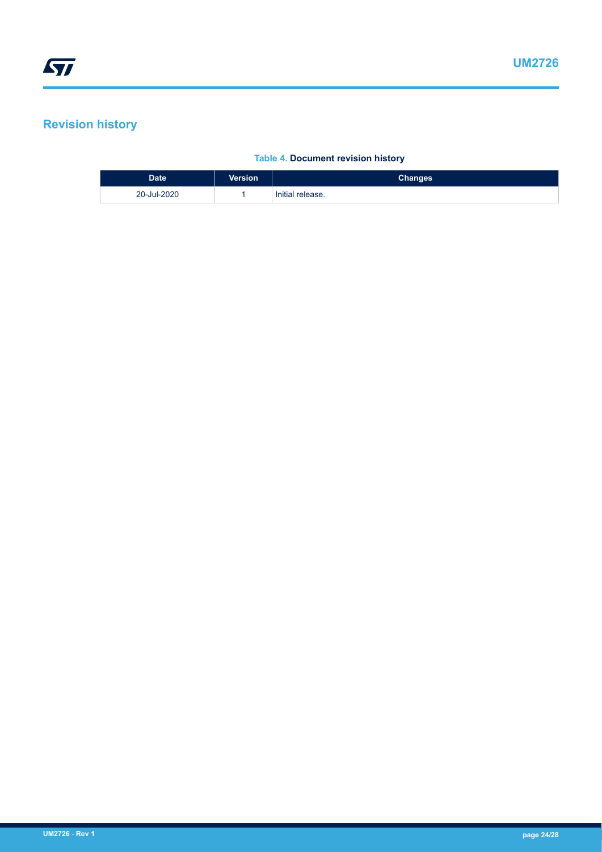## <span id="page-23-0"></span>**Revision history**

### **Table 4. Document revision history**

| <b>Date</b> | <b>Version</b> | <b>Changes</b>   |
|-------------|----------------|------------------|
| 20-Jul-2020 |                | Initial release. |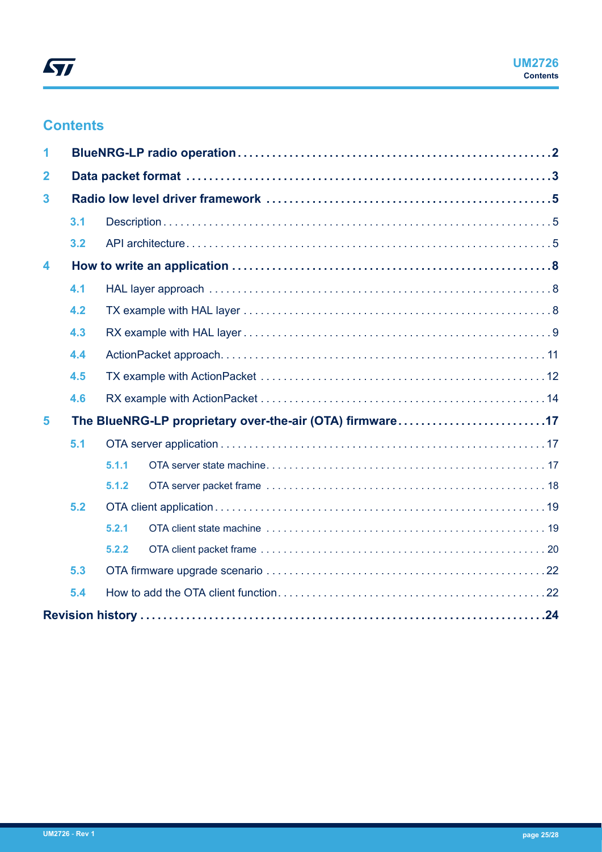## **Contents**

| 1                   |                                                          |       |  |  |  |  |  |  |
|---------------------|----------------------------------------------------------|-------|--|--|--|--|--|--|
| $\overline{2}$      |                                                          |       |  |  |  |  |  |  |
| 3                   |                                                          |       |  |  |  |  |  |  |
|                     | 3.1                                                      |       |  |  |  |  |  |  |
|                     | 3.2                                                      |       |  |  |  |  |  |  |
| $\overline{\bf{4}}$ |                                                          |       |  |  |  |  |  |  |
|                     | 4.1                                                      |       |  |  |  |  |  |  |
|                     | 4.2                                                      |       |  |  |  |  |  |  |
|                     | 4.3                                                      |       |  |  |  |  |  |  |
|                     | 4.4                                                      |       |  |  |  |  |  |  |
|                     | 4.5                                                      |       |  |  |  |  |  |  |
|                     | 4.6                                                      |       |  |  |  |  |  |  |
| 5                   | The BlueNRG-LP proprietary over-the-air (OTA) firmware17 |       |  |  |  |  |  |  |
|                     | 5.1                                                      |       |  |  |  |  |  |  |
|                     |                                                          | 5.1.1 |  |  |  |  |  |  |
|                     |                                                          | 5.1.2 |  |  |  |  |  |  |
|                     | 5.2                                                      |       |  |  |  |  |  |  |
|                     |                                                          | 5.2.1 |  |  |  |  |  |  |
|                     |                                                          | 5.2.2 |  |  |  |  |  |  |
|                     | 5.3                                                      |       |  |  |  |  |  |  |
|                     | 5.4                                                      |       |  |  |  |  |  |  |
|                     |                                                          |       |  |  |  |  |  |  |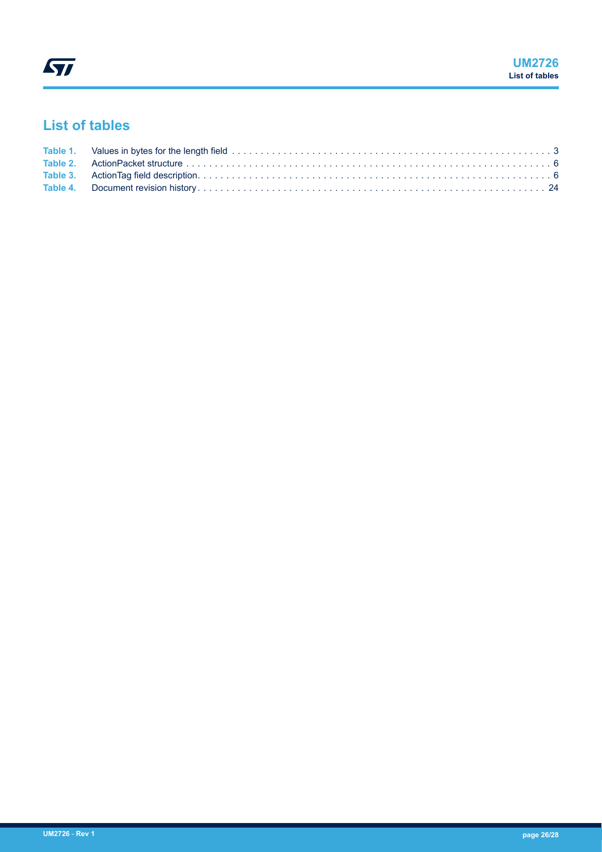## **List of tables**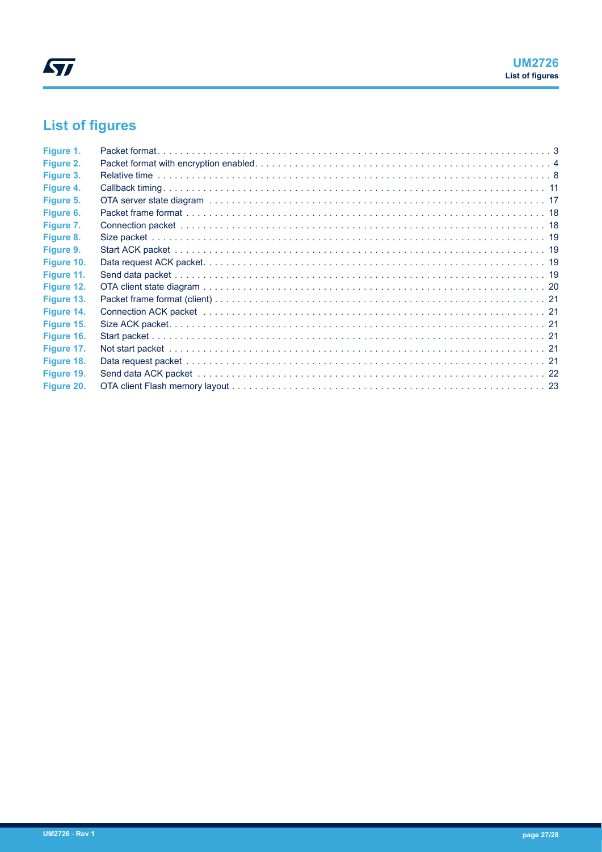# **List of figures**

| Figure 1.  |  |
|------------|--|
| Figure 2.  |  |
| Figure 3.  |  |
| Figure 4.  |  |
| Figure 5.  |  |
| Figure 6.  |  |
| Figure 7.  |  |
| Figure 8.  |  |
| Figure 9.  |  |
| Figure 10. |  |
| Figure 11. |  |
| Figure 12. |  |
| Figure 13. |  |
| Figure 14. |  |
| Figure 15. |  |
| Figure 16. |  |
| Figure 17. |  |
| Figure 18. |  |
| Figure 19. |  |
| Figure 20. |  |